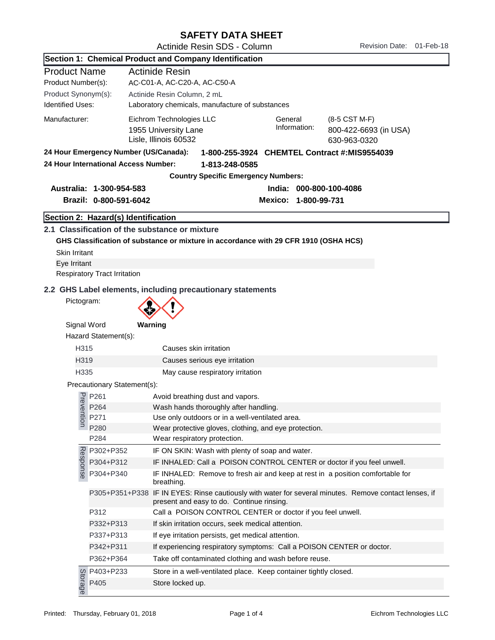## SAFETY DATA SHEET

Actinide Resin SDS - Column Revision Date: 01-Feb-18

|                          |                                       | Section 1: Chemical Product and Company Identification                                                                                             |  |  |  |  |
|--------------------------|---------------------------------------|----------------------------------------------------------------------------------------------------------------------------------------------------|--|--|--|--|
| <b>Product Name</b>      |                                       | <b>Actinide Resin</b>                                                                                                                              |  |  |  |  |
| Product Number(s):       |                                       | AC-C01-A, AC-C20-A, AC-C50-A                                                                                                                       |  |  |  |  |
| Product Synonym(s):      |                                       | Actinide Resin Column, 2 mL                                                                                                                        |  |  |  |  |
| <b>Identified Uses:</b>  |                                       | Laboratory chemicals, manufacture of substances                                                                                                    |  |  |  |  |
| Manufacturer:            |                                       | Eichrom Technologies LLC<br>General<br>(8-5 CST M-F)                                                                                               |  |  |  |  |
|                          |                                       | Information:<br>1955 University Lane<br>800-422-6693 (in USA)                                                                                      |  |  |  |  |
|                          |                                       | Lisle, Illinois 60532<br>630-963-0320                                                                                                              |  |  |  |  |
|                          | 24 Hour Emergency Number (US/Canada): | 1-800-255-3924 CHEMTEL Contract #: MIS9554039                                                                                                      |  |  |  |  |
|                          | 24 Hour International Access Number:  | 1-813-248-0585                                                                                                                                     |  |  |  |  |
|                          |                                       | <b>Country Specific Emergency Numbers:</b>                                                                                                         |  |  |  |  |
| Australia: 1-300-954-583 |                                       | India: 000-800-100-4086                                                                                                                            |  |  |  |  |
|                          | Brazil: 0-800-591-6042                | Mexico: 1-800-99-731                                                                                                                               |  |  |  |  |
|                          | Section 2: Hazard(s) Identification   |                                                                                                                                                    |  |  |  |  |
|                          |                                       | 2.1 Classification of the substance or mixture                                                                                                     |  |  |  |  |
|                          |                                       | GHS Classification of substance or mixture in accordance with 29 CFR 1910 (OSHA HCS)                                                               |  |  |  |  |
| Skin Irritant            |                                       |                                                                                                                                                    |  |  |  |  |
| Eye Irritant             |                                       |                                                                                                                                                    |  |  |  |  |
|                          | <b>Respiratory Tract Irritation</b>   |                                                                                                                                                    |  |  |  |  |
|                          |                                       | 2.2 GHS Label elements, including precautionary statements                                                                                         |  |  |  |  |
| Pictogram:               |                                       |                                                                                                                                                    |  |  |  |  |
|                          |                                       |                                                                                                                                                    |  |  |  |  |
| Signal Word              |                                       | Warning                                                                                                                                            |  |  |  |  |
|                          | Hazard Statement(s):                  |                                                                                                                                                    |  |  |  |  |
| H315                     |                                       | Causes skin irritation                                                                                                                             |  |  |  |  |
| H <sub>3</sub> 19        |                                       | Causes serious eye irritation                                                                                                                      |  |  |  |  |
| H335                     |                                       | May cause respiratory irritation                                                                                                                   |  |  |  |  |
|                          | Precautionary Statement(s):           |                                                                                                                                                    |  |  |  |  |
|                          |                                       |                                                                                                                                                    |  |  |  |  |
| Preventi                 | P261<br>P264                          | Avoid breathing dust and vapors.                                                                                                                   |  |  |  |  |
|                          | P271                                  | Wash hands thoroughly after handling.<br>Use only outdoors or in a well-ventilated area                                                            |  |  |  |  |
| $\overline{a}$           | P280                                  | Wear protective gloves, clothing, and eye protection.                                                                                              |  |  |  |  |
|                          | P284                                  | Wear respiratory protection.                                                                                                                       |  |  |  |  |
|                          | P302+P352                             | IF ON SKIN: Wash with plenty of soap and water.                                                                                                    |  |  |  |  |
|                          | P304+P312                             | IF INHALED: Call a POISON CONTROL CENTER or doctor if you feel unwell.                                                                             |  |  |  |  |
| Response                 | P304+P340                             | IF INHALED: Remove to fresh air and keep at rest in a position comfortable for<br>breathing.                                                       |  |  |  |  |
|                          |                                       | P305+P351+P338 IF IN EYES: Rinse cautiously with water for several minutes. Remove contact lenses, if<br>present and easy to do. Continue rinsing. |  |  |  |  |
|                          | P312                                  | Call a POISON CONTROL CENTER or doctor if you feel unwell.                                                                                         |  |  |  |  |
|                          | P332+P313                             | If skin irritation occurs, seek medical attention.                                                                                                 |  |  |  |  |
|                          | P337+P313                             | If eye irritation persists, get medical attention.                                                                                                 |  |  |  |  |
|                          | P342+P311                             | If experiencing respiratory symptoms: Call a POISON CENTER or doctor.                                                                              |  |  |  |  |
|                          | P362+P364                             | Take off contaminated clothing and wash before reuse.                                                                                              |  |  |  |  |
|                          | P403+P233                             | Store in a well-ventilated place. Keep container tightly closed.                                                                                   |  |  |  |  |
| Storage                  | P405                                  | Store locked up.                                                                                                                                   |  |  |  |  |
|                          |                                       |                                                                                                                                                    |  |  |  |  |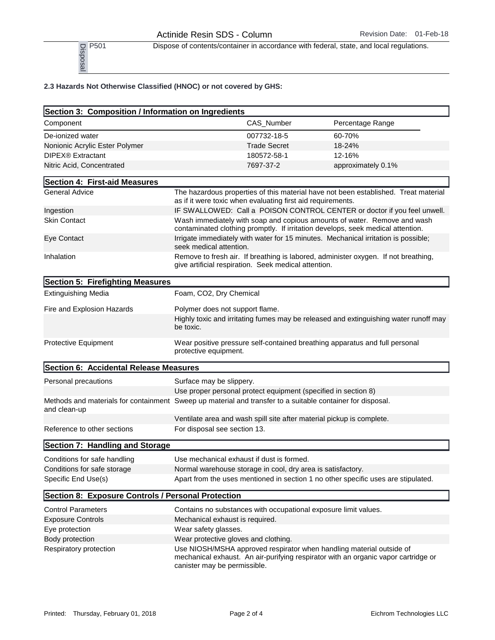P<sub>501</sub> Dispose of contents/container in accordance with federal, state, and local regulations.

## 2.3 Hazards Not Otherwise Classified (HNOC) or not covered by GHS:

| P501<br>Disposal                                                                                                           |                                                                |                     | Dispose of contents/container in accordance with federal, state, and local regulations.                                                                     |
|----------------------------------------------------------------------------------------------------------------------------|----------------------------------------------------------------|---------------------|-------------------------------------------------------------------------------------------------------------------------------------------------------------|
| 2.3 Hazards Not Otherwise Classified (HNOC) or not covered by GHS:                                                         |                                                                |                     |                                                                                                                                                             |
| Section 3: Composition / Information on Ingredients                                                                        |                                                                |                     |                                                                                                                                                             |
| Component                                                                                                                  |                                                                | CAS_Number          | Percentage Range                                                                                                                                            |
| De-ionized water                                                                                                           |                                                                | 007732-18-5         | 60-70%                                                                                                                                                      |
| Nonionic Acrylic Ester Polymer                                                                                             |                                                                | <b>Trade Secret</b> | 18-24%                                                                                                                                                      |
| DIPEX <sup>®</sup> Extractant                                                                                              |                                                                | 180572-58-1         | 12-16%                                                                                                                                                      |
| Nitric Acid, Concentrated                                                                                                  |                                                                | 7697-37-2           | approximately 0.1%                                                                                                                                          |
| Section 4: First-aid Measures                                                                                              |                                                                |                     |                                                                                                                                                             |
| <b>General Advice</b>                                                                                                      | as if it were toxic when evaluating first aid requirements.    |                     | The hazardous properties of this material have not been established. Treat material                                                                         |
| Ingestion                                                                                                                  |                                                                |                     | IF SWALLOWED: Call a POISON CONTROL CENTER or doctor if you feel unwell.                                                                                    |
| <b>Skin Contact</b>                                                                                                        |                                                                |                     | Wash immediately with soap and copious amounts of water. Remove and wash<br>contaminated clothing promptly. If irritation develops, seek medical attention. |
| Eye Contact                                                                                                                | seek medical attention.                                        |                     | Irrigate immediately with water for 15 minutes. Mechanical irritation is possible;                                                                          |
| Inhalation                                                                                                                 | give artificial respiration. Seek medical attention.           |                     | Remove to fresh air. If breathing is labored, administer oxygen. If not breathing,                                                                          |
| Section 5: Firefighting Measures                                                                                           |                                                                |                     |                                                                                                                                                             |
| <b>Extinguishing Media</b>                                                                                                 | Foam, CO2, Dry Chemical                                        |                     |                                                                                                                                                             |
| Fire and Explosion Hazards                                                                                                 | Polymer does not support flame.<br>be toxic.                   |                     | Highly toxic and irritating fumes may be released and extinguishing water runoff may                                                                        |
| Protective Equipment                                                                                                       | protective equipment.                                          |                     | Wear positive pressure self-contained breathing apparatus and full personal                                                                                 |
| Section 6: Accidental Release Measures                                                                                     |                                                                |                     |                                                                                                                                                             |
| Personal precautions                                                                                                       | Surface may be slippery.                                       |                     |                                                                                                                                                             |
|                                                                                                                            | Use proper personal protect equipment (specified in section 8) |                     |                                                                                                                                                             |
| Methods and materials for containment Sweep up material and transfer to a suitable container for disposal.<br>and clean-up |                                                                |                     |                                                                                                                                                             |
|                                                                                                                            |                                                                |                     | Ventilate area and wash spill site after material pickup is complete.                                                                                       |
| Reference to other sections                                                                                                | For disposal see section 13.                                   |                     |                                                                                                                                                             |
| Section 7: Handling and Storage                                                                                            |                                                                |                     |                                                                                                                                                             |
| Conditions for safe handling                                                                                               | Use mechanical exhaust if dust is formed.                      |                     |                                                                                                                                                             |
| Conditions for safe storage                                                                                                | Normal warehouse storage in cool, dry area is satisfactory.    |                     |                                                                                                                                                             |
| Specific End Use(s)                                                                                                        |                                                                |                     | Apart from the uses mentioned in section 1 no other specific uses are stipulated.                                                                           |
| Section 8: Exposure Controls / Personal Protection                                                                         |                                                                |                     |                                                                                                                                                             |
| <b>Control Parameters</b>                                                                                                  |                                                                |                     | Contains no substances with occupational exposure limit values.                                                                                             |
| <b>Exposure Controls</b>                                                                                                   | Mechanical exhaust is required.                                |                     |                                                                                                                                                             |
| Eye protection                                                                                                             | Wear safety glasses.                                           |                     |                                                                                                                                                             |
| Body protection                                                                                                            | Wear protective gloves and clothing.                           |                     |                                                                                                                                                             |
| Respiratory protection                                                                                                     |                                                                |                     | Use NIOSH/MSHA approved respirator when handling material outside of                                                                                        |
|                                                                                                                            | canister may be permissible.                                   |                     | mechanical exhaust. An air-purifying respirator with an organic vapor cartridge or                                                                          |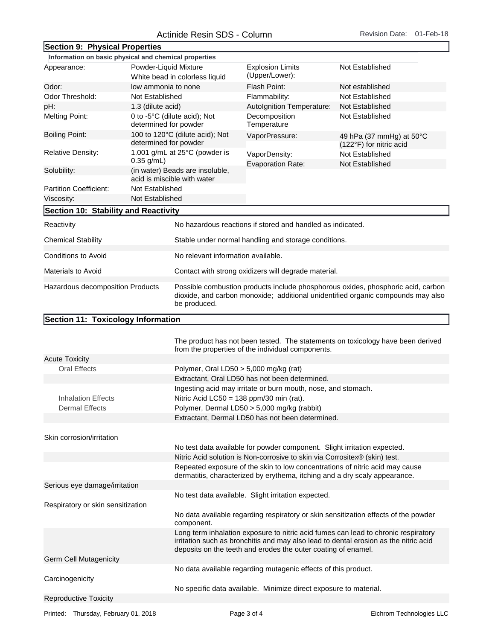| Section 9: Physical Properties                        |                       |                                                                                                                                                                                      |                                                                                                                                                            |                                                                                                                                                                            |  |
|-------------------------------------------------------|-----------------------|--------------------------------------------------------------------------------------------------------------------------------------------------------------------------------------|------------------------------------------------------------------------------------------------------------------------------------------------------------|----------------------------------------------------------------------------------------------------------------------------------------------------------------------------|--|
| Information on basic physical and chemical properties |                       |                                                                                                                                                                                      |                                                                                                                                                            |                                                                                                                                                                            |  |
| Powder-Liquid Mixture<br>Appearance:                  |                       | White bead in colorless liquid                                                                                                                                                       | <b>Explosion Limits</b><br>(Upper/Lower):                                                                                                                  | Not Established                                                                                                                                                            |  |
| Odor:                                                 | low ammonia to none   |                                                                                                                                                                                      | Flash Point:                                                                                                                                               | Not established                                                                                                                                                            |  |
| Odor Threshold:                                       | Not Established       |                                                                                                                                                                                      | Flammability:                                                                                                                                              | Not Established                                                                                                                                                            |  |
| pH:                                                   | 1.3 (dilute acid)     |                                                                                                                                                                                      | Autolgnition Temperature:                                                                                                                                  | Not Established                                                                                                                                                            |  |
| <b>Melting Point:</b>                                 | determined for powder | 0 to -5°C (dilute acid); Not                                                                                                                                                         | Decomposition<br>Temperature                                                                                                                               | Not Established                                                                                                                                                            |  |
| <b>Boiling Point:</b>                                 | determined for powder | 100 to 120°C (dilute acid); Not                                                                                                                                                      | VaporPressure:                                                                                                                                             | 49 hPa (37 mmHg) at $50^{\circ}$ C<br>(122°F) for nitric acid                                                                                                              |  |
| <b>Relative Density:</b>                              | $0.35$ g/mL)          | 1.001 g/mL at 25°C (powder is                                                                                                                                                        | VaporDensity:<br><b>Evaporation Rate:</b>                                                                                                                  | Not Established<br>Not Established                                                                                                                                         |  |
| Solubility:                                           |                       | (in water) Beads are insoluble,<br>acid is miscible with water                                                                                                                       |                                                                                                                                                            |                                                                                                                                                                            |  |
| <b>Partition Coefficient:</b>                         | Not Established       |                                                                                                                                                                                      |                                                                                                                                                            |                                                                                                                                                                            |  |
| Viscosity:                                            | Not Established       |                                                                                                                                                                                      |                                                                                                                                                            |                                                                                                                                                                            |  |
| Section 10: Stability and Reactivity                  |                       |                                                                                                                                                                                      |                                                                                                                                                            |                                                                                                                                                                            |  |
|                                                       |                       |                                                                                                                                                                                      |                                                                                                                                                            |                                                                                                                                                                            |  |
| Reactivity                                            |                       |                                                                                                                                                                                      | No hazardous reactions if stored and handled as indicated.                                                                                                 |                                                                                                                                                                            |  |
| <b>Chemical Stability</b>                             |                       |                                                                                                                                                                                      | Stable under normal handling and storage conditions.                                                                                                       |                                                                                                                                                                            |  |
| <b>Conditions to Avoid</b>                            |                       | No relevant information available.                                                                                                                                                   |                                                                                                                                                            |                                                                                                                                                                            |  |
| Materials to Avoid                                    |                       | Contact with strong oxidizers will degrade material.                                                                                                                                 |                                                                                                                                                            |                                                                                                                                                                            |  |
| Hazardous decomposition Products                      |                       | Possible combustion products include phosphorous oxides, phosphoric acid, carbon<br>dioxide, and carbon monoxide; additional unidentified organic compounds may also<br>be produced. |                                                                                                                                                            |                                                                                                                                                                            |  |
| Section 11: Toxicology Information                    |                       |                                                                                                                                                                                      |                                                                                                                                                            |                                                                                                                                                                            |  |
|                                                       |                       |                                                                                                                                                                                      | from the properties of the individual components.                                                                                                          | The product has not been tested. The statements on toxicology have been derived                                                                                            |  |
| <b>Acute Toxicity</b>                                 |                       |                                                                                                                                                                                      |                                                                                                                                                            |                                                                                                                                                                            |  |
| <b>Oral Effects</b>                                   |                       | Polymer, Oral LD50 $> 5,000$ mg/kg (rat)                                                                                                                                             |                                                                                                                                                            |                                                                                                                                                                            |  |
|                                                       |                       |                                                                                                                                                                                      | Extractant, Oral LD50 has not been determined.                                                                                                             |                                                                                                                                                                            |  |
|                                                       |                       |                                                                                                                                                                                      | Ingesting acid may irritate or burn mouth, nose, and stomach.                                                                                              |                                                                                                                                                                            |  |
| <b>Inhalation Effects</b>                             |                       | Nitric Acid LC50 = $138$ ppm/30 min (rat).                                                                                                                                           |                                                                                                                                                            |                                                                                                                                                                            |  |
| <b>Dermal Effects</b>                                 |                       | Polymer, Dermal LD50 > 5,000 mg/kg (rabbit)                                                                                                                                          |                                                                                                                                                            |                                                                                                                                                                            |  |
|                                                       |                       |                                                                                                                                                                                      | Extractant, Dermal LD50 has not been determined.                                                                                                           |                                                                                                                                                                            |  |
| Skin corrosion/irritation                             |                       |                                                                                                                                                                                      |                                                                                                                                                            |                                                                                                                                                                            |  |
|                                                       |                       |                                                                                                                                                                                      | No test data available for powder component. Slight irritation expected.<br>Nitric Acid solution is Non-corrosive to skin via Corrositex® (skin) test.     |                                                                                                                                                                            |  |
|                                                       |                       |                                                                                                                                                                                      | Repeated exposure of the skin to low concentrations of nitric acid may cause<br>dermatitis, characterized by erythema, itching and a dry scaly appearance. |                                                                                                                                                                            |  |
| Serious eye damage/irritation                         |                       |                                                                                                                                                                                      |                                                                                                                                                            |                                                                                                                                                                            |  |
|                                                       |                       |                                                                                                                                                                                      | No test data available. Slight irritation expected.                                                                                                        |                                                                                                                                                                            |  |
| Respiratory or skin sensitization                     |                       |                                                                                                                                                                                      |                                                                                                                                                            |                                                                                                                                                                            |  |
|                                                       |                       | component.                                                                                                                                                                           |                                                                                                                                                            | No data available regarding respiratory or skin sensitization effects of the powder                                                                                        |  |
|                                                       |                       |                                                                                                                                                                                      | deposits on the teeth and erodes the outer coating of enamel.                                                                                              | Long term inhalation exposure to nitric acid fumes can lead to chronic respiratory<br>irritation such as bronchitis and may also lead to dental erosion as the nitric acid |  |
| <b>Germ Cell Mutagenicity</b>                         |                       |                                                                                                                                                                                      |                                                                                                                                                            |                                                                                                                                                                            |  |
| Carcinogenicity                                       |                       | No data available regarding mutagenic effects of this product.                                                                                                                       |                                                                                                                                                            |                                                                                                                                                                            |  |
|                                                       |                       |                                                                                                                                                                                      | No specific data available. Minimize direct exposure to material.                                                                                          |                                                                                                                                                                            |  |
| <b>Reproductive Toxicity</b>                          |                       |                                                                                                                                                                                      |                                                                                                                                                            |                                                                                                                                                                            |  |

Printed: Thursday, February 01, 2018 **Page 3 of 4** Page 3 of 4 **Printed: Thursday, February 01, 2018**